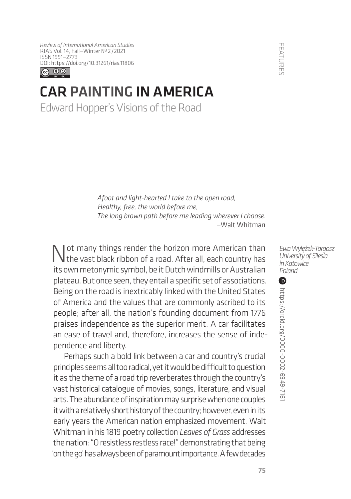*Review of International American Studies* RIAS Vol. 14, Fall—Winter № 2/2021 ISSN 1991—2773 [DOI: https://doi.org/1](https://doi.org/10.31261/rias.11806)0.31261/rias.11806



## CAR PAINTING IN AMERICA

Edward Hopper's Visions of the Road

*Afoot and light-hearted I take to the open road, Healthy, free, the world before me, The long brown path before me leading wherever I choose. —*Walt Whitman

I ot many things render the horizon more American than  $\mathsf I$  the vast black ribbon of a road. After all, each country has its own metonymic symbol, be it Dutch windmills or Australian plateau. But once seen, they entail a specific set of associations. Being on the road is inextricably linked with the United States of America and the values that are commonly ascribed to its people; after all, the nation's founding document from 1776 praises independence as the superior merit. A car facilitates an ease of travel and, therefore, increases the sense of independence and liberty.

Perhaps such a bold link between a car and country's crucial principles seems all too radical, yet it would be difficult to question it as the theme of a road trip reverberates through the country's vast historical catalogue of movies, songs, literature, and visual arts. The abundance of inspiration may surprise when one couples it with a relatively short history of the country; however, even in its early years the American nation emphasized movement. Walt Whitman in his 1819 poetry collection *Leaves of Grass* addresses the nation: "O resistless restless race!" demonstrating that being 'on the go' has always been of paramount importance. A few decades

-EATURES Contras://orcid.org/0000-0002-6949-7167 FEATURES  $\bf \Phi$ https://orcid.org/0000-0002-6949-716

**FEATURE**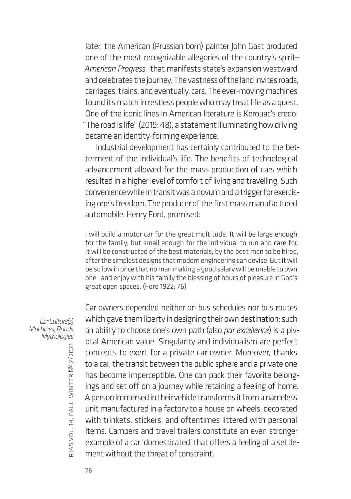later, the American (Prussian born) painter John Gast produced one of the most recognizable allegories of the country's spirit— *American Progress*—that manifests state's expansion westward and celebrates the journey. The vastness of the land invites roads, carriages, trains, and eventually, cars. The ever-moving machines found its match in restless people who may treat life as a quest. One of the iconic lines in American literature is Kerouac's credo: "The road is life" (2019: 48), a statement illuminating how driving became an identity-forming experience.

Industrial development has certainly contributed to the betterment of the individual's life. The benefits of technological advancement allowed for the mass production of cars which resulted in a higher level of comfort of living and travelling. Such convenience while in transit was a novum and a trigger for exercising one's freedom. The producer of the first mass manufactured automobile, Henry Ford, promised:

I will build a motor car for the great multitude. It will be large enough for the family, but small enough for the individual to run and care for. It will be constructed of the best materials, by the best men to be hired, after the simplest designs that modern engineering can devise. But it will be so low in price that no man making a good salary will be unable to own one—and enjoy with his family the blessing of hours of pleasure in God's great open spaces. (Ford 1922: 76)

Car owners depended neither on bus schedules nor bus routes which gave them liberty in designing their own destination; such an ability to choose one's own path (also *par excellence*) is a pivotal American value. Singularity and individualism are perfect concepts to exert for a private car owner. Moreover, thanks to a car, the transit between the public sphere and a private one has become imperceptible. One can pack their favorite belongings and set off on a journey while retaining a feeling of home. A person immersed in their vehicle transforms it from a nameless unit manufactured in a factory to a house on wheels, decorated with trinkets, stickers, and oftentimes littered with personal items. Campers and travel trailers constitute an even stronger example of a car 'domesticated' that offers a feeling of a settlement without the threat of constraint.

*Car Culture(s) Machines, Roads Mythologies*

rias

vol. 14, fall–winter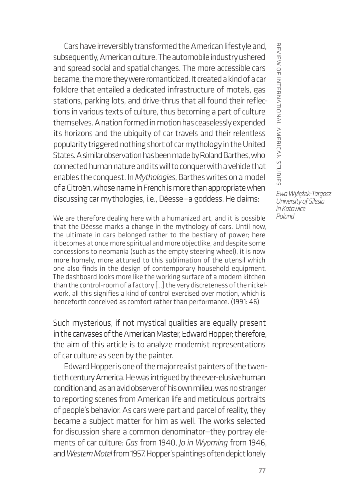Cars have irreversibly transformed the American lifestyle and, subsequently, American culture. The automobile industry ushered and spread social and spatial changes. The more accessible cars became, the more they were romanticized. It created a kind of a car folklore that entailed a dedicated infrastructure of motels, gas stations, parking lots, and drive-thrus that all found their reflections in various texts of culture, thus becoming a part of culture themselves. A nation formed in motion has ceaselessly expended its horizons and the ubiquity of car travels and their relentless popularity triggered nothing short of car mythology in the United States. A similar observation has been made by Roland Barthes, who connected human nature and its will to conquer with a vehicle that enables the conquest. In *Mythologies*, Barthes writes on a model of a Citroën, whose name in French is more than appropriate when discussing car mythologies, i.e., Déesse—a goddess. He claims:

We are therefore dealing here with a humanized art, and it is possible that the Déesse marks a change in the mythology of cars. Until now, the ultimate in cars belonged rather to the bestiary of power; here it becomes at once more spiritual and more objectlike, and despite some concessions to neomania (such as the empty steering wheel), it is now more homely, more attuned to this sublimation of the utensil which one also finds in the design of contemporary household equipment. The dashboard looks more like the working surface of a modern kitchen than the control-room of a factory […] the very discreteness of the nickelwork, all this signifies a kind of control exercised over motion, which is henceforth conceived as comfort rather than performance. (1991: 46)

Such mysterious, if not mystical qualities are equally present in the canvases of the American Master, Edward Hopper; therefore, the aim of this article is to analyze modernist representations of car culture as seen by the painter.

Edward Hopper is one of the major realist painters of the twentieth century America. He was intrigued by the ever-elusive human condition and, as an avid observer of his own milieu, was no stranger to reporting scenes from American life and meticulous portraits of people's behavior. As cars were part and parcel of reality, they became a subject matter for him as well. The works selected for discussion share a common denominator—they portray elements of car culture: *Gas* from 1940, *Jo in Wyoming* from 1946, and *Western Motel* from 1957. Hopper's paintings often depict lonely

REVIEW OF INTERNATIONAL AMERICAN STUDIES *Ewa Wylężek-Targosz University of Silesia* 

*in Katowice Poland*

review of international american studies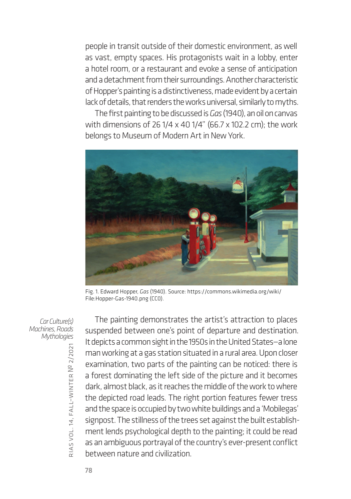people in transit outside of their domestic environment, as well as vast, empty spaces. His protagonists wait in a lobby, enter a hotel room, or a restaurant and evoke a sense of anticipation and a detachment from their surroundings. Another characteristic of Hopper's painting is a distinctiveness, made evident by a certain lack of details, that renders the works universal, similarly to myths.

The first painting to be discussed is *Gas* (1940), an oil on canvas with dimensions of 26 1/4 x 40 1/4" (66.7 x 102.2 cm); the work belongs to Museum of Modern Art in New York.



Fig. 1. Edward Hopper, *Gas* (1940). Source: [https://commons.wikimedia.org/wiki/](https://commons.wikimedia.org/wiki/File) [File](https://commons.wikimedia.org/wiki/File):Hopper-Gas-1940.png (CC0).

*Car Culture(s) Machines, Roads Mythologies*

The painting demonstrates the artist's attraction to places suspended between one's point of departure and destination. It depicts a common sight in the 1950s in the United States—a lone man working at a gas station situated in a rural area. Upon closer examination, two parts of the painting can be noticed: there is a forest dominating the left side of the picture and it becomes dark, almost black, as it reaches the middle of the work to where the depicted road leads. The right portion features fewer tress and the space is occupied by two white buildings and a 'Mobilegas' signpost. The stillness of the trees set against the built establishment lends psychological depth to the painting; it could be read as an ambiguous portrayal of the country's ever-present conflict between nature and civilization.

rias

vol. 14, fall–winter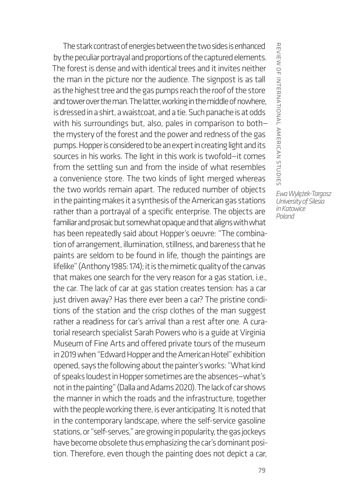The stark contrast of energies between the two sides is enhanced by the peculiar portrayal and proportions of the captured elements. The forest is dense and with identical trees and it invites neither the man in the picture nor the audience. The signpost is as tall as the highest tree and the gas pumps reach the roof of the store and tower over the man. The latter, working in the middle of nowhere, is dressed in a shirt, a waistcoat, and a tie. Such panache is at odds with his surroundings but, also, pales in comparison to both the mystery of the forest and the power and redness of the gas pumps. Hopper is considered to be an expert in creating light and its sources in his works. The light in this work is twofold—it comes from the settling sun and from the inside of what resembles a convenience store. The two kinds of light merged whereas the two worlds remain apart. The reduced number of objects in the painting makes it a synthesis of the American gas stations rather than a portrayal of a specific enterprise. The objects are familiar and prosaic but somewhat opaque and that aligns with what has been repeatedly said about Hopper's oeuvre: "The combination of arrangement, illumination, stillness, and bareness that he paints are seldom to be found in life, though the paintings are lifelike" (Anthony 1985: 174); it is the mimetic quality of the canvas that makes one search for the very reason for a gas station, i.e., the car. The lack of car at gas station creates tension: has a car just driven away? Has there ever been a car? The pristine conditions of the station and the crisp clothes of the man suggest rather a readiness for car's arrival than a rest after one. A curatorial research specialist Sarah Powers who is a guide at Virginia Museum of Fine Arts and offered private tours of the museum in 2019 when "Edward Hopper and the American Hotel" exhibition opened, says the following about the painter's works: "What kind of speaks loudest in Hopper sometimes are the absences—what's not in the painting" (Dalla and Adams 2020). The lack of car shows the manner in which the roads and the infrastructure, together with the people working there, is ever anticipating. It is noted that in the contemporary landscape, where the self-service gasoline stations, or "self-serves," are growing in popularity, the gas jockeys have become obsolete thus emphasizing the car's dominant position. Therefore, even though the painting does not depict a car,

REVIERINTERNAL AMERICAN STUDIES review of international american studies *Ewa Wylężek-Targosz* 

*University of Silesia in Katowice Poland*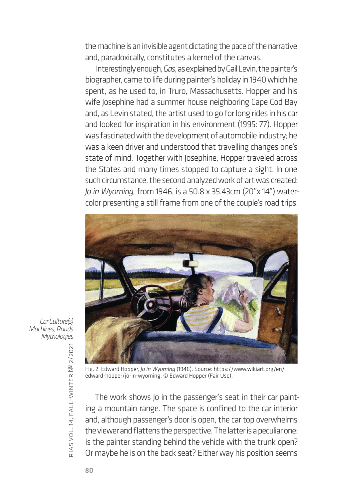the machine is an invisible agent dictating the pace of the narrative and, paradoxically, constitutes a kernel of the canvas.

Interestingly enough, *Gas*, as explained by Gail Levin, the painter's biographer, came to life during painter's holiday in 1940 which he spent, as he used to, in Truro, Massachusetts. Hopper and his wife Josephine had a summer house neighboring Cape Cod Bay and, as Levin stated, the artist used to go for long rides in his car and looked for inspiration in his environment (1995: 77). Hopper was fascinated with the development of automobile industry; he was a keen driver and understood that travelling changes one's state of mind. Together with Josephine, Hopper traveled across the States and many times stopped to capture a sight. In one such circumstance, the second analyzed work of art was created: *Jo in Wyoming,* from 1946, is a 50.8 x 35.43cm (20"x 14") watercolor presenting a still frame from one of the couple's road trips.



*Car Culture(s) Machines, Roads Mythologies*

Fig. 2. Edward Hopper, *Jo in Wyoming* (1946). Source: [https://www.wikiart.org/en/](https://www.wikiart.org/en/edward-hopper/jo-in-wyoming) [edward-hopper/jo-in-wyoming.](https://www.wikiart.org/en/edward-hopper/jo-in-wyoming) © Edward Hopper (Fair Use).

The work shows Jo in the passenger's seat in their car painting a mountain range. The space is confined to the car interior and, although passenger's door is open, the car top overwhelms the viewer and flattens the perspective. The latter is a peculiar one: is the painter standing behind the vehicle with the trunk open? Or maybe he is on the back seat? Either way his position seems

rias

vol. 14, fall–winter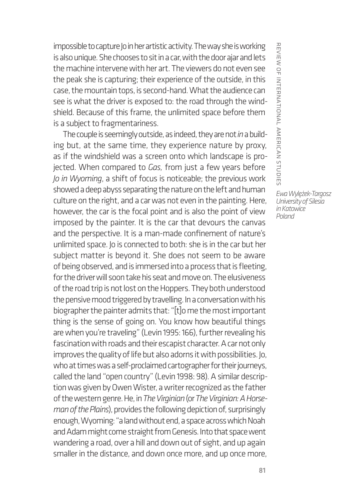impossible to capture Jo in her artistic activity. The way she is working is also unique. She chooses to sit in a car, with the door ajar and lets the machine intervene with her art. The viewers do not even see the peak she is capturing; their experience of the outside, in this case, the mountain tops, is second-hand. What the audience can see is what the driver is exposed to: the road through the windshield. Because of this frame, the unlimited space before them is a subject to fragmentariness.

The couple is seemingly outside, as indeed, they are not *in* a building but, at the same time, they experience nature by proxy, as if the windshield was a screen onto which landscape is projected. When compared to *Gas,* from just a few years before *Jo in Wyoming*, a shift of focus is noticeable; the previous work showed a deep abyss separating the nature on the left and human culture on the right, and a car was not even in the painting. Here, however, the car is the focal point and is also the point of view imposed by the painter. It is the car that devours the canvas and the perspective. It is a man-made confinement of nature's unlimited space. Jo is connected to both: she is in the car but her subject matter is beyond it. She does not seem to be aware of being observed, and is immersed into a process that is fleeting, for the driver will soon take his seat and move on. The elusiveness of the road trip is not lost on the Hoppers. They both understood the pensive mood triggered by travelling. In a conversation with his biographer the painter admits that: "[t]o me the most important thing is the sense of going on. You know how beautiful things are when you're traveling" (Levin 1995: 166), further revealing his fascination with roads and their escapist character. A car not only improves the quality of life but also adorns it with possibilities. Jo, who at times was a self-proclaimed cartographer for their journeys, called the land "open country" (Levin 1998: 98). A similar description was given by Owen Wister, a writer recognized as the father of the western genre. He, in *The Virginian* (or *The Virginian: A Horseman of the Plains*), provides the following depiction of, surprisingly enough, Wyoming: "a land without end, a space across which Noah and Adam might come straight from Genesis. Into that space went wandering a road, over a hill and down out of sight, and up again smaller in the distance, and down once more, and up once more, REVIEW OF INTERNATIONAL AMERICAN STUDIES review of international american studies *Ewa Wylężek-Targosz* 

*University of Silesia in Katowice Poland*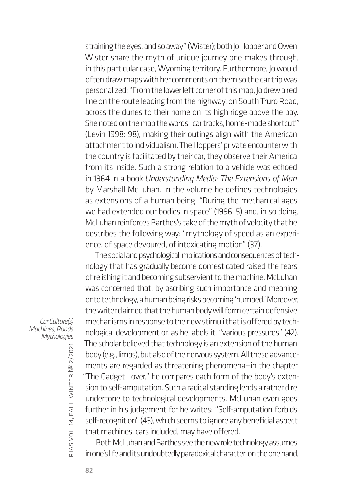straining the eyes, and so away" (Wister); both Jo Hopper and Owen Wister share the myth of unique journey one makes through, in this particular case, Wyoming territory. Furthermore, Jo would often draw maps with her comments on them so the car trip was personalized: "From the lower left corner of this map, Jo drew a red line on the route leading from the highway, on South Truro Road, across the dunes to their home on its high ridge above the bay. She noted on the map the words, 'car tracks, home-made shortcut'" (Levin 1998: 98), making their outings align with the American attachment to individualism. The Hoppers' private encounter with the country is facilitated by their car, they observe their America from its inside. Such a strong relation to a vehicle was echoed in 1964 in a book *Understanding Media: The Extensions of Man*  by Marshall McLuhan. In the volume he defines technologies as extensions of a human being: "During the mechanical ages we had extended our bodies in space" (1996: 5) and, in so doing, McLuhan reinforces Barthes's take of the myth of velocity that he describes the following way: "mythology of speed as an experience, of space devoured, of intoxicating motion" (37).

The social and psychological implications and consequences of technology that has gradually become domesticated raised the fears of relishing it and becoming subservient to the machine. McLuhan was concerned that, by ascribing such importance and meaning onto technology, a human being risks becoming 'numbed.' Moreover, the writer claimed that the human body will form certain defensive mechanisms in response to the new stimuli that is offered by technological development or, as he labels it, "various pressures" (42). The scholar believed that technology is an extension of the human body (e.g., limbs), but also of the nervous system. All these advancements are regarded as threatening phenomena—in the chapter "The Gadget Lover," he compares each form of the body's extension to self-amputation. Such a radical standing lends a rather dire undertone to technological developments. McLuhan even goes further in his judgement for he writes: "Self-amputation forbids self-recognition" (43), which seems to ignore any beneficial aspect that machines, cars included, may have offered.

Both McLuhan and Barthes see the new role technology assumes in one's life and its undoubtedly paradoxical character: on the one hand,

*Car Culture(s) Machines, Roads Mythologies*

rias

vol. 14, fall–winter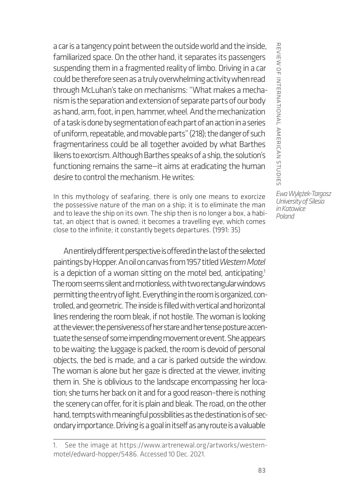a car is a tangency point between the outside world and the inside, familiarized space. On the other hand, it separates its passengers suspending them in a fragmented reality of limbo. Driving in a car could be therefore seen as a truly overwhelming activity when read through McLuhan's take on mechanisms: "What makes a mechanism is the separation and extension of separate parts of our body as hand, arm, foot, in pen, hammer, wheel. And the mechanization of a task is done by segmentation of each part of an action in a series of uniform, repeatable, and movable parts" (218); the danger of such fragmentariness could be all together avoided by what Barthes likens to exorcism. Although Barthes speaks of a ship, the solution's functioning remains the same—it aims at eradicating the human desire to control the mechanism. He writes:

In this mythology of seafaring, there is only one means to exorcize the possessive nature of the man on a ship; it is to eliminate the man and to leave the ship on its own. The ship then is no longer a box, a habitat, an object that is owned; it becomes a travelling eye, which comes close to the infinite; it constantly begets departures. (1991: 35)

An entirely different perspective is offered in the last of the selected paintings by Hopper. An oil on canvas from 1957 titled *[Western Motel](https://www.artrenewal.org/artworks/western-motel/edward-hopper/5486)*  is a depiction of a woman sitting on the motel bed, anticipating.<sup>1</sup> The room seems silent and motionless, with two rectangular windows permitting the entry of light. Everything in the room is organized, controlled, and geometric. The inside is filled with vertical and horizontal lines rendering the room bleak, if not hostile. The woman is looking at the viewer; the pensiveness of her stare and her tense posture accentuate the sense of some impending movement or event. She appears to be waiting: the luggage is packed, the room is devoid of personal objects, the bed is made, and a car is parked outside the window. The woman is alone but her gaze is directed at the viewer, inviting them in. She is oblivious to the landscape encompassing her location; she turns her back on it and for a good reason–there is nothing the scenery can offer, for it is plain and bleak. The road, on the other hand, tempts with meaningful possibilities as the destination is of secondary importance. Driving is a goal in itself as any route is a valuable

*Ewa Wylężek-Targosz University of Silesia in Katowice Poland*

review of international american studies

REVIEW OF INTERNATIONAL AMERICAN STUDIES

<sup>1.</sup> See the image at [https://www.artrenewal.org/artworks/western](https://www.artrenewal.org/artworks/western-motel/edward-hopper/5486)[motel/edward-hopper/5486](https://www.artrenewal.org/artworks/western-motel/edward-hopper/5486). Accessed 10 Dec. 2021.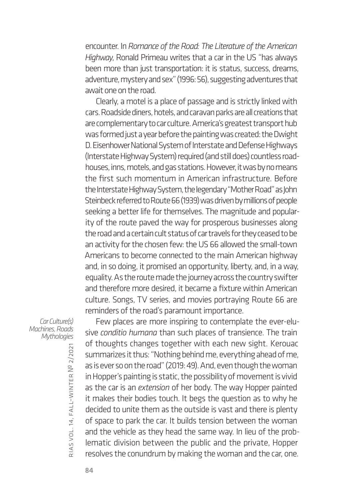encounter. In *Romance of the Road: The Literature of the American Highway*, Ronald Primeau writes that a car in the US "has always been more than just transportation: it is status, success, dreams, adventure, mystery and sex" (1996: 56), suggesting adventures that await one on the road.

Clearly, a motel is a place of passage and is strictly linked with cars. Roadside diners, hotels, and caravan parks are all creations that are complementary to car culture. America's greatest transport hub was formed just a year before the painting was created: the Dwight D. Eisenhower National System of Interstate and Defense Highways (Interstate Highway System) required (and still does) countless roadhouses, inns, motels, and gas stations. However, it was by no means the first such momentum in American infrastructure. Before the Interstate Highway System, the legendary "Mother Road" as John Steinbeck referred to Route 66 (1939) was driven by millions of people seeking a better life for themselves. The magnitude and popularity of the route paved the way for prosperous businesses along the road and a certain cult status of car travels for they ceased to be an activity for the chosen few: the US 66 allowed the small-town Americans to become connected to the main American highway and, in so doing, it promised an opportunity, liberty, and, in a way, equality. As the route made the journey across the country swifter and therefore more desired, it became a fixture within American culture. Songs, TV series, and movies portraying Route 66 are reminders of the road's paramount importance.

*Car Culture(s) Machines, Roads Mythologies*

Few places are more inspiring to contemplate the ever-elusive *conditio humana* than such places of transience. The train of thoughts changes together with each new sight. Kerouac summarizes it thus: "Nothing behind me, everything ahead of me, as is ever so on the road" (2019: 49). And, even though the woman in Hopper's painting is static, the possibility of movement is vivid as the car is an *extension* of her body. The way Hopper painted it makes their bodies touch. It begs the question as to why he decided to unite them as the outside is vast and there is plenty of space to park the car. It builds tension between the woman and the vehicle as they head the same way. In lieu of the problematic division between the public and the private, Hopper resolves the conundrum by making the woman and the car, one.

rias

vol. 14, fall–winter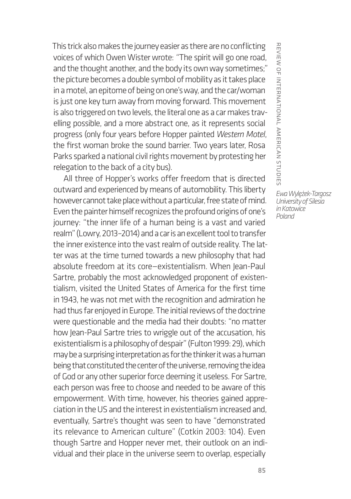This trick also makes the journey easier as there are no conflicting voices of which Owen Wister wrote: *"*The spirit will go one road, and the thought another, and the body its own way sometimes;" the picture becomes a double symbol of mobility as it takes place in a motel, an epitome of being on one's way, and the car/woman is just one key turn away from moving forward. This movement is also triggered on two levels, the literal one as a car makes travelling possible, and a more abstract one, as it represents social progress (only four years before Hopper painted *Western Motel*, the first woman broke the sound barrier. Two years later, Rosa Parks sparked a national civil rights movement by protesting her relegation to the back of a city bus).

All three of Hopper's works offer freedom that is directed outward and experienced by means of automobility. This liberty however cannot take place without a particular, free state of mind. Even the painter himself recognizes the profound origins of one's journey: "the inner life of a human being is a vast and varied realm" (Lowry, 2013–2014) and a car is an excellent tool to transfer the inner existence into the vast realm of outside reality. The latter was at the time turned towards a new philosophy that had absolute freedom at its core—existentialism. When Jean-Paul Sartre, probably the most acknowledged proponent of existentialism, visited the United States of America for the first time in 1943, he was not met with the recognition and admiration he had thus far enjoyed in Europe. The initial reviews of the doctrine were questionable and the media had their doubts: "no matter how Jean-Paul Sartre tries to wriggle out of the accusation, his existentialism is a philosophy of despair" (Fulton 1999: 29), which may be a surprising interpretation as for the thinker it was a human being that constituted the center of the universe, removing the idea of God or any other superior force deeming it useless. For Sartre, each person was free to choose and needed to be aware of this empowerment. With time, however, his theories gained appreciation in the US and the interest in existentialism increased and, eventually, Sartre's thought was seen to have "demonstrated its relevance to American culture" (Cotkin 2003: 104). Even though Sartre and Hopper never met, their outlook on an individual and their place in the universe seem to overlap, especially

REVIEW OF INTERNATIONAL AMERICAN STUDIES review of international american studies

*Ewa Wylężek-Targosz University of Silesia in Katowice Poland*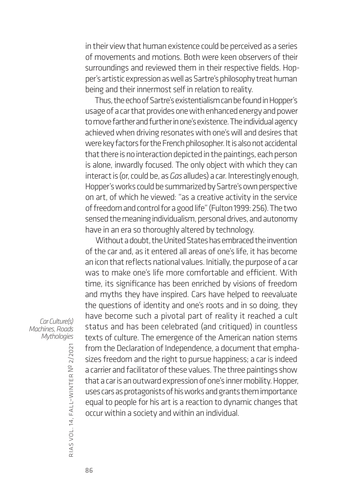in their view that human existence could be perceived as a series of movements and motions. Both were keen observers of their surroundings and reviewed them in their respective fields. Hopper's artistic expression as well as Sartre's philosophy treat human being and their innermost self in relation to reality.

Thus, the echo of Sartre's existentialism can be found in Hopper's usage of a car that provides one with enhanced energy and power to move farther and further in one's existence. The individual agency achieved when driving resonates with one's will and desires that were key factors for the French philosopher. It is also not accidental that there is no interaction depicted in the paintings, each person is alone, inwardly focused. The only object with which they can interact is (or, could be, as *Gas* alludes) a car. Interestingly enough, Hopper's works could be summarized by Sartre's own perspective on art, of which he viewed: "as a creative activity in the service of freedom and control for a good life" (Fulton 1999: 256). The two sensed the meaning individualism, personal drives, and autonomy have in an era so thoroughly altered by technology.

Without a doubt, the United States has embraced the invention of the car and, as it entered all areas of one's life, it has become an icon that reflects national values. Initially, the purpose of a car was to make one's life more comfortable and efficient. With time, its significance has been enriched by visions of freedom and myths they have inspired. Cars have helped to reevaluate the questions of identity and one's roots and in so doing, they have become such a pivotal part of reality it reached a cult status and has been celebrated (and critiqued) in countless texts of culture. The emergence of the American nation stems from the Declaration of Independence, a document that emphasizes freedom and the right to pursue happiness; a car is indeed a carrier and facilitator of these values. The three paintings show that a car is an outward expression of one's inner mobility. Hopper, uses cars as protagonists of his works and grants them importance equal to people for his art is a reaction to dynamic changes that occur within a society and within an individual.

*Car Culture(s) Machines, Roads Mythologies*

rias vol. 14, fall–winter № 2/2021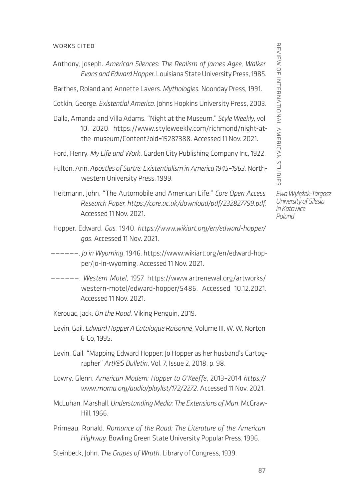## works cited

Anthony, Joseph. *American Silences: The Realism of James Agee, Walker Evans and Edward Hopper*. Louisiana State University Press, 1985.

Barthes, Roland and Annette Lavers. *Mythologies.* Noonday Press, 1991.

- Cotkin, George. *Existential America*. Johns Hopkins University Press, 2003.
- Dalla, Amanda and Villa Adams. "Night at the Museum." *Style Weekly*, vol 10, 2020. [https://www.styleweekly.com/richmond/night-at](https://www.styleweekly.com/richmond/night-at-the-museum/Content?oid=15287388)[the-museum/Content?oid=15287388.](https://www.styleweekly.com/richmond/night-at-the-museum/Content?oid=15287388) Accessed 11 Nov. 2021.

Ford, Henry. *My Life and Work*. Garden City Publishing Company Inc, 1922.

- Heitmann, John. "The Automobile and American Life." *Core Open Access Research Paper*, *<https://core.ac.uk/download/pdf/232827799.pdf>*. Accessed 11 Nov. 2021.
- Hopper, Edward. *Gas.* 1940. *[https://www.wikiart.org/en/edward-hopper/](https://www.wikiart.org/en/edward-hopper/gas) [gas](https://www.wikiart.org/en/edward-hopper/gas)*. Accessed 11 Nov. 2021.
- ——————. *Jo in Wyoming*, 1946. [https://www.wikiart.org/en/edward-hop](https://www.wikiart.org/en/edward-hopper/jo-in-wyoming)[per/jo-in-wyoming.](https://www.wikiart.org/en/edward-hopper/jo-in-wyoming) Accessed 11 Nov. 2021.
- ——————. *Western Motel*, 1957. [https://www.artrenewal.org/artworks/](https://www.artrenewal.org/artworks/western-motel/edward-hopper/5486) [western-motel/edward-hopper/5486.](https://www.artrenewal.org/artworks/western-motel/edward-hopper/5486) Accessed 10.12.2021. Accessed 11 Nov. 2021.

Kerouac, Jack. *On the Road.* Viking Penguin, 2019.

- Levin, Gail. *Edward Hopper A Catalogue Raisonné*, Volume III. W. W. Norton & Co, 1995.
- Levin, Gail. "Mapping Edward Hopper: Jo Hopper as her husband's Cartographer" *Artl@S Bulletin*, Vol. 7, Issue 2, 2018, p. 98.
- Lowry, Glenn. *American Modern: Hopper to O'Keeffe*, 2013–2014 *[https://](https://www.moma.org/audio/playlist/172/2272) [www.moma.org/audio/playlist/172/2272](https://www.moma.org/audio/playlist/172/2272)*. Accessed 11 Nov. 2021.
- McLuhan, Marshall. *Understanding Media: The Extensions of Man*. McGraw-Hill, 1966.
- Primeau, Ronald. *Romance of the Road: The Literature of the American Highway*. Bowling Green State University Popular Press, 1996.

Steinbeck, John. *The Grapes of Wrath*. Library of Congress, 1939.

REVIEW OF INTERNATIONAL AMERICAN STUDIES review of international american studies

*Ewa Wylężek-Targosz University of Silesia in Katowice Poland*

Fulton, Ann. *Apostles of Sartre: Existentialism in America 1945–1963.* Northwestern University Press, 1999.